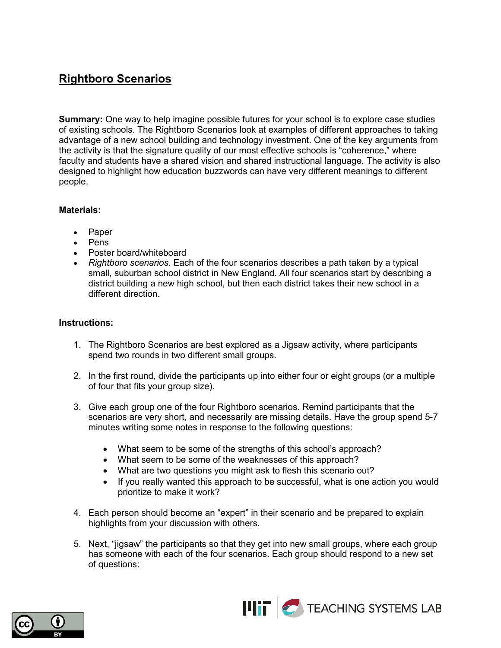### **Rightboro Scenarios**

**Summary:** One way to help imagine possible futures for your school is to explore case studies of existing schools. The Rightboro Scenarios look at examples of different approaches to taking advantage of a new school building and technology investment. One of the key arguments from the activity is that the signature quality of our most effective schools is "coherence," where faculty and students have a shared vision and shared instructional language. The activity is also designed to highlight how education buzzwords can have very different meanings to different people.

### **Materials:**

- Paper
- Pens
- Poster board/whiteboard
- *Rightboro scenarios*. Each of the four scenarios describes a path taken by a typical small, suburban school district in New England. All four scenarios start by describing a district building a new high school, but then each district takes their new school in a different direction.

#### **Instructions:**

- 1. The Rightboro Scenarios are best explored as a Jigsaw activity, where participants spend two rounds in two different small groups.
- 2. In the first round, divide the participants up into either four or eight groups (or a multiple of four that fits your group size).
- 3. Give each group one of the four Rightboro scenarios. Remind participants that the scenarios are very short, and necessarily are missing details. Have the group spend 5-7 minutes writing some notes in response to the following questions:
	- What seem to be some of the strengths of this school's approach?
	- What seem to be some of the weaknesses of this approach?
	- What are two questions you might ask to flesh this scenario out?
	- If you really wanted this approach to be successful, what is one action you would prioritize to make it work?
- 4. Each person should become an "expert" in their scenario and be prepared to explain highlights from your discussion with others.
- 5. Next, "jigsaw" the participants so that they get into new small groups, where each group has someone with each of the four scenarios. Each group should respond to a new set of questions:



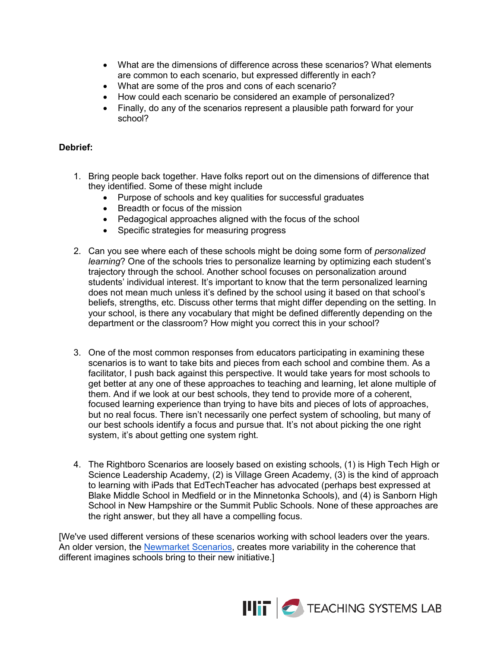- What are the dimensions of difference across these scenarios? What elements are common to each scenario, but expressed differently in each?
- What are some of the pros and cons of each scenario?
- How could each scenario be considered an example of personalized?
- Finally, do any of the scenarios represent a plausible path forward for your school?

#### **Debrief:**

- 1. Bring people back together. Have folks report out on the dimensions of difference that they identified. Some of these might include
	- Purpose of schools and key qualities for successful graduates
	- Breadth or focus of the mission
	- Pedagogical approaches aligned with the focus of the school
	- Specific strategies for measuring progress
- 2. Can you see where each of these schools might be doing some form of *personalized learning*? One of the schools tries to personalize learning by optimizing each student's trajectory through the school. Another school focuses on personalization around students' individual interest. It's important to know that the term personalized learning does not mean much unless it's defined by the school using it based on that school's beliefs, strengths, etc. Discuss other terms that might differ depending on the setting. In your school, is there any vocabulary that might be defined differently depending on the department or the classroom? How might you correct this in your school?
- 3. One of the most common responses from educators participating in examining these scenarios is to want to take bits and pieces from each school and combine them. As a facilitator, I push back against this perspective. It would take years for most schools to get better at any one of these approaches to teaching and learning, let alone multiple of them. And if we look at our best schools, they tend to provide more of a coherent, focused learning experience than trying to have bits and pieces of lots of approaches, but no real focus. There isn't necessarily one perfect system of schooling, but many of our best schools identify a focus and pursue that. It's not about picking the one right system, it's about getting one system right.
- 4. The Rightboro Scenarios are loosely based on existing schools, (1) is High Tech High or Science Leadership Academy, (2) is Village Green Academy, (3) is the kind of approach to learning with iPads that EdTechTeacher has advocated (perhaps best expressed at Blake Middle School in Medfield or in the Minnetonka Schools), and (4) is Sanborn High School in New Hampshire or the Summit Public Schools. None of these approaches are the right answer, but they all have a compelling focus.

[We've used different versions of these scenarios working with school leaders over the years. An older version, th[e Newmarket Scenarios,](https://docs.google.com/document/d/1t5vwlZcbKAt2-lGgtTzgqptJDTavI_cpWD6kix430Og/pub) creates more variability in the coherence that different imagines schools bring to their new initiative.]

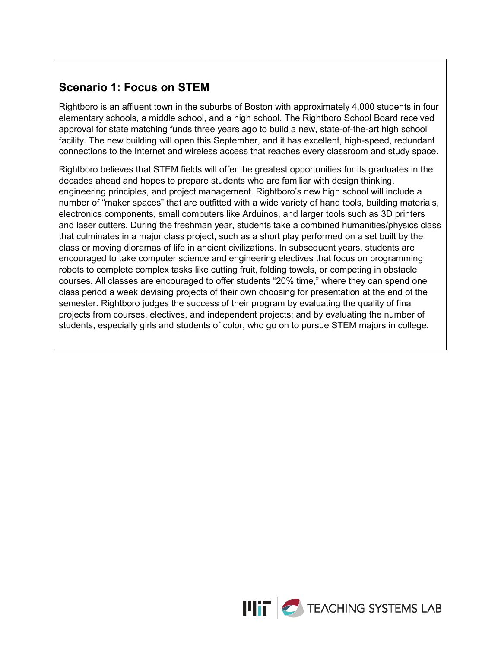## **Scenario 1: Focus on STEM**

Rightboro is an affluent town in the suburbs of Boston with approximately 4,000 students in four elementary schools, a middle school, and a high school. The Rightboro School Board received approval for state matching funds three years ago to build a new, state-of-the-art high school facility. The new building will open this September, and it has excellent, high-speed, redundant connections to the Internet and wireless access that reaches every classroom and study space.

Rightboro believes that STEM fields will offer the greatest opportunities for its graduates in the decades ahead and hopes to prepare students who are familiar with design thinking, engineering principles, and project management. Rightboro's new high school will include a number of "maker spaces" that are outfitted with a wide variety of hand tools, building materials, electronics components, small computers like Arduinos, and larger tools such as 3D printers and laser cutters. During the freshman year, students take a combined humanities/physics class that culminates in a major class project, such as a short play performed on a set built by the class or moving dioramas of life in ancient civilizations. In subsequent years, students are encouraged to take computer science and engineering electives that focus on programming robots to complete complex tasks like cutting fruit, folding towels, or competing in obstacle courses. All classes are encouraged to offer students "20% time," where they can spend one class period a week devising projects of their own choosing for presentation at the end of the semester. Rightboro judges the success of their program by evaluating the quality of final projects from courses, electives, and independent projects; and by evaluating the number of students, especially girls and students of color, who go on to pursue STEM majors in college.

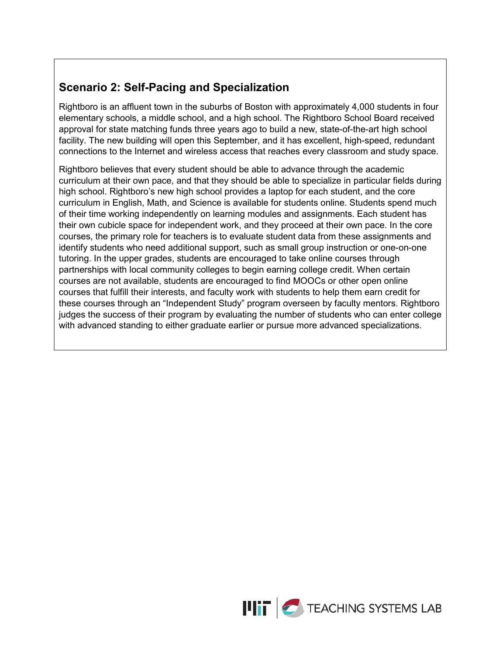# **Scenario 2: Self-Pacing and Specialization**

Rightboro is an affluent town in the suburbs of Boston with approximately 4,000 students in four elementary schools, a middle school, and a high school. The Rightboro School Board received approval for state matching funds three years ago to build a new, state-of-the-art high school facility. The new building will open this September, and it has excellent, high-speed, redundant connections to the Internet and wireless access that reaches every classroom and study space.

Rightboro believes that every student should be able to advance through the academic curriculum at their own pace, and that they should be able to specialize in particular fields during high school. Rightboro's new high school provides a laptop for each student, and the core curriculum in English, Math, and Science is available for students online. Students spend much of their time working independently on learning modules and assignments. Each student has their own cubicle space for independent work, and they proceed at their own pace. In the core courses, the primary role for teachers is to evaluate student data from these assignments and identify students who need additional support, such as small group instruction or one-on-one tutoring. In the upper grades, students are encouraged to take online courses through partnerships with local community colleges to begin earning college credit. When certain courses are not available, students are encouraged to find MOOCs or other open online courses that fulfill their interests, and faculty work with students to help them earn credit for these courses through an "Independent Study" program overseen by faculty mentors. Rightboro judges the success of their program by evaluating the number of students who can enter college with advanced standing to either graduate earlier or pursue more advanced specializations.

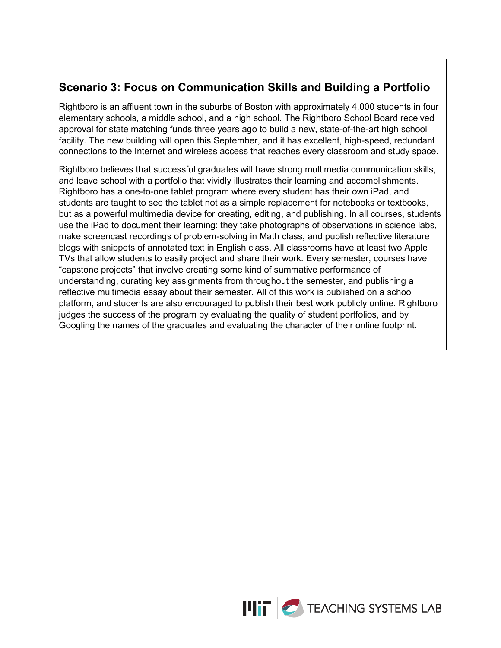# **Scenario 3: Focus on Communication Skills and Building a Portfolio**

Rightboro is an affluent town in the suburbs of Boston with approximately 4,000 students in four elementary schools, a middle school, and a high school. The Rightboro School Board received approval for state matching funds three years ago to build a new, state-of-the-art high school facility. The new building will open this September, and it has excellent, high-speed, redundant connections to the Internet and wireless access that reaches every classroom and study space.

Rightboro believes that successful graduates will have strong multimedia communication skills, and leave school with a portfolio that vividly illustrates their learning and accomplishments. Rightboro has a one-to-one tablet program where every student has their own iPad, and students are taught to see the tablet not as a simple replacement for notebooks or textbooks, but as a powerful multimedia device for creating, editing, and publishing. In all courses, students use the iPad to document their learning: they take photographs of observations in science labs, make screencast recordings of problem-solving in Math class, and publish reflective literature blogs with snippets of annotated text in English class. All classrooms have at least two Apple TVs that allow students to easily project and share their work. Every semester, courses have "capstone projects" that involve creating some kind of summative performance of understanding, curating key assignments from throughout the semester, and publishing a reflective multimedia essay about their semester. All of this work is published on a school platform, and students are also encouraged to publish their best work publicly online. Rightboro judges the success of the program by evaluating the quality of student portfolios, and by Googling the names of the graduates and evaluating the character of their online footprint.